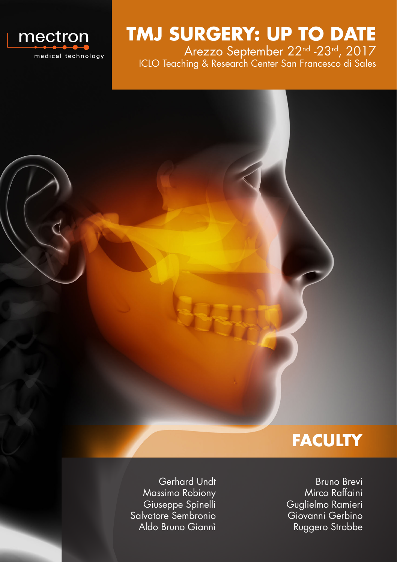

**TMJ SURGERY: UP TO DATE**

Arezzo September 22nd -23rd, 2017 ICLO Teaching & Research Center San Francesco di Sales



Gerhard Undt Massimo Robiony Giuseppe Spinelli Salvatore Sembronio Aldo Bruno Giannì

Bruno Brevi Mirco Raffaini Guglielmo Ramieri Giovanni Gerbino Ruggero Strobbe